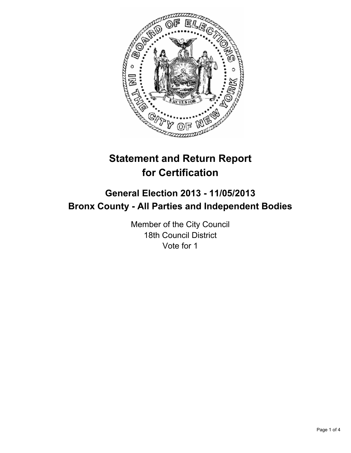

# **Statement and Return Report for Certification**

## **General Election 2013 - 11/05/2013 Bronx County - All Parties and Independent Bodies**

Member of the City Council 18th Council District Vote for 1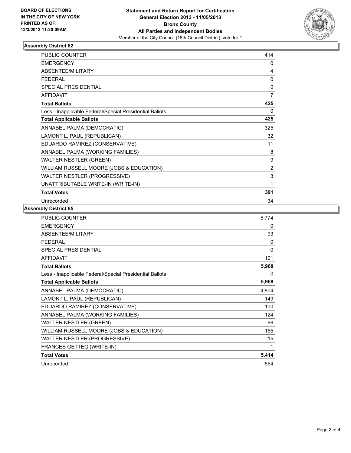

### **Assembly District 82**

| <b>PUBLIC COUNTER</b>                                    | 414            |
|----------------------------------------------------------|----------------|
| <b>EMERGENCY</b>                                         | 0              |
| <b>ABSENTEE/MILITARY</b>                                 | 4              |
| <b>FEDERAL</b>                                           | 0              |
| <b>SPECIAL PRESIDENTIAL</b>                              | 0              |
| <b>AFFIDAVIT</b>                                         | $\overline{7}$ |
| <b>Total Ballots</b>                                     | 425            |
| Less - Inapplicable Federal/Special Presidential Ballots | 0              |
| <b>Total Applicable Ballots</b>                          | 425            |
| ANNABEL PALMA (DEMOCRATIC)                               | 325            |
| LAMONT L. PAUL (REPUBLICAN)                              | 32             |
| EDUARDO RAMIREZ (CONSERVATIVE)                           | 11             |
| ANNABEL PALMA (WORKING FAMILIES)                         | 8              |
| <b>WALTER NESTLER (GREEN)</b>                            | 9              |
| WILLIAM RUSSELL MOORE (JOBS & EDUCATION)                 | 2              |
| WALTER NESTLER (PROGRESSIVE)                             | 3              |
| UNATTRIBUTABLE WRITE-IN (WRITE-IN)                       | 1              |
| <b>Total Votes</b>                                       | 391            |
| Unrecorded                                               | 34             |

#### **Assembly District 85**

| <b>PUBLIC COUNTER</b>                                    | 5,774        |
|----------------------------------------------------------|--------------|
| <b>EMERGENCY</b>                                         | 0            |
| <b>ABSENTEE/MILITARY</b>                                 | 93           |
| <b>FEDERAL</b>                                           | 0            |
| <b>SPECIAL PRESIDENTIAL</b>                              | $\mathbf{0}$ |
| <b>AFFIDAVIT</b>                                         | 101          |
| <b>Total Ballots</b>                                     | 5,968        |
| Less - Inapplicable Federal/Special Presidential Ballots | 0            |
| <b>Total Applicable Ballots</b>                          | 5,968        |
| ANNABEL PALMA (DEMOCRATIC)                               | 4,804        |
| LAMONT L. PAUL (REPUBLICAN)                              | 149          |
| EDUARDO RAMIREZ (CONSERVATIVE)                           | 100          |
| ANNABEL PALMA (WORKING FAMILIES)                         | 124          |
| <b>WALTER NESTLER (GREEN)</b>                            | 66           |
| WILLIAM RUSSELL MOORE (JOBS & EDUCATION)                 | 155          |
| WALTER NESTLER (PROGRESSIVE)                             | 15           |
| FRANCES GETTEG (WRITE-IN)                                | 1            |
| <b>Total Votes</b>                                       | 5,414        |
| Unrecorded                                               | 554          |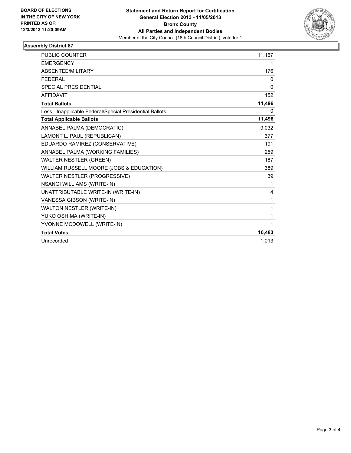

#### **Assembly District 87**

| <b>PUBLIC COUNTER</b>                                    | 11,167       |
|----------------------------------------------------------|--------------|
| <b>EMERGENCY</b>                                         | 1            |
| ABSENTEE/MILITARY                                        | 176          |
| <b>FEDERAL</b>                                           | 0            |
| SPECIAL PRESIDENTIAL                                     | $\mathbf{0}$ |
| <b>AFFIDAVIT</b>                                         | 152          |
| <b>Total Ballots</b>                                     | 11,496       |
| Less - Inapplicable Federal/Special Presidential Ballots | 0            |
| <b>Total Applicable Ballots</b>                          | 11,496       |
| ANNABEL PALMA (DEMOCRATIC)                               | 9,032        |
| LAMONT L. PAUL (REPUBLICAN)                              | 377          |
| EDUARDO RAMIREZ (CONSERVATIVE)                           | 191          |
| ANNABEL PALMA (WORKING FAMILIES)                         | 259          |
| <b>WALTER NESTLER (GREEN)</b>                            | 187          |
| WILLIAM RUSSELL MOORE (JOBS & EDUCATION)                 | 389          |
| WALTER NESTLER (PROGRESSIVE)                             | 39           |
| <b>NSANGI WILLIAMS (WRITE-IN)</b>                        | 1            |
| UNATTRIBUTABLE WRITE-IN (WRITE-IN)                       | 4            |
| VANESSA GIBSON (WRITE-IN)                                | 1            |
| <b>WALTON NESTLER (WRITE-IN)</b>                         | 1            |
| YUKO OSHIMA (WRITE-IN)                                   | 1            |
| YVONNE MCDOWELL (WRITE-IN)                               | 1            |
| <b>Total Votes</b>                                       | 10,483       |
| Unrecorded                                               | 1,013        |